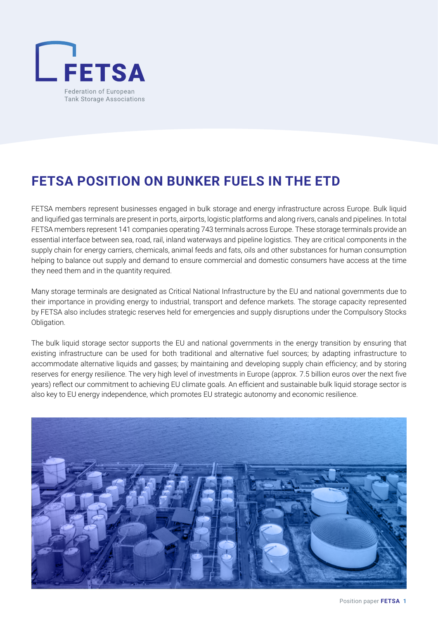

## **FETSA POSITION ON BUNKER FUELS IN THE ETD**

FETSA members represent businesses engaged in bulk storage and energy infrastructure across Europe. Bulk liquid and liquified gas terminals are present in ports, airports, logistic platforms and along rivers, canals and pipelines. In total FETSA members represent 141 companies operating 743 terminals across Europe. These storage terminals provide an essential interface between sea, road, rail, inland waterways and pipeline logistics. They are critical components in the supply chain for energy carriers, chemicals, animal feeds and fats, oils and other substances for human consumption helping to balance out supply and demand to ensure commercial and domestic consumers have access at the time they need them and in the quantity required.

Many storage terminals are designated as Critical National Infrastructure by the EU and national governments due to their importance in providing energy to industrial, transport and defence markets. The storage capacity represented by FETSA also includes strategic reserves held for emergencies and supply disruptions under the Compulsory Stocks Obligation.

The bulk liquid storage sector supports the EU and national governments in the energy transition by ensuring that existing infrastructure can be used for both traditional and alternative fuel sources; by adapting infrastructure to accommodate alternative liquids and gasses; by maintaining and developing supply chain efficiency; and by storing reserves for energy resilience. The very high level of investments in Europe (approx. 7.5 billion euros over the next five years) reflect our commitment to achieving EU climate goals. An efficient and sustainable bulk liquid storage sector is also key to EU energy independence, which promotes EU strategic autonomy and economic resilience.